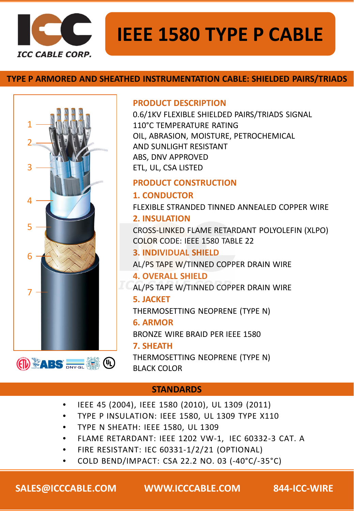

# **IEEE 1580 TYPE P CABLE**

# **TYPE P ARMORED AND SHEATHED INSTRUMENTATION CABLE: SHIELDED PAIRS/TRIADS**



### **PRODUCT DESCRIPTION**

0.6/1KV FLEXIBLE SHIELDED PAIRS/TRIADS SIGNAL 110°C TEMPERATURE RATING OIL, ABRASION, MOISTURE, PETROCHEMICAL AND SUNLIGHT RESISTANT ABS, DNV APPROVED ETL, UL, CSA LISTED

## **PRODUCT CONSTRUCTION**

**1. CONDUCTOR** FLEXIBLE STRANDED TINNED ANNEALED COPPER WIRE

# **2. INSULATION**

CROSS-LINKED FLAME RETARDANT POLYOLEFIN (XLPO) COLOR CODE: IEEE 1580 TABLE 22

## **3. INDIVIDUAL SHIELD**

AL/PS TAPE W/TINNED COPPER DRAIN WIRE

## **4. OVERALL SHIELD**

AL/PS TAPE W/TINNED COPPER DRAIN WIRE

### **5. JACKET**

THERMOSETTING NEOPRENE (TYPE N)

#### **6. ARMOR**

BRONZE WIRE BRAID PER IEEE 1580

### **7. SHEATH**

THERMOSETTING NEOPRENE (TYPE N) BLACK COLOR

# **STANDARDS**

- IEEE 45 (2004), IEEE 1580 (2010), UL 1309 (2011)
- TYPE P INSULATION: IEEE 1580, UL 1309 TYPE X110
- TYPE N SHEATH: IEEE 1580, UL 1309
- FLAME RETARDANT: IEEE 1202 VW-1, IEC 60332-3 CAT. A
- FIRE RESISTANT: IEC 60331-1/2/21 (OPTIONAL)
- COLD BEND/IMPACT: CSA 22.2 NO. 03 (-40°C/-35°C)

**SALES@ICCCABLE.COM WWW.ICCCABLE.COM 844-ICC-WIRE**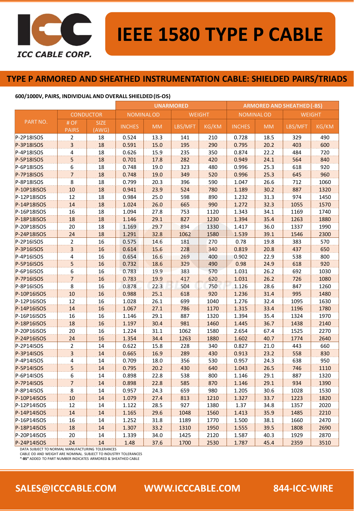

# **IEEE 1580 TYPE P CABLE**

#### **TYPE P ARMORED AND SHEATHED INSTRUMENTATION CABLE: SHIELDED PAIRS/TRIADS**

#### **600/1000V, PAIRS, INDIVIDUAL AND OVERALL SHIELDED (IS-OS)**

|             |                          |                      | <b>UNARMORED</b> |           |               |       | <b>ARMORED AND SHEATHED (-BS)</b> |           |               |       |  |
|-------------|--------------------------|----------------------|------------------|-----------|---------------|-------|-----------------------------------|-----------|---------------|-------|--|
|             | <b>CONDUCTOR</b>         |                      | <b>NOMINALOD</b> |           | <b>WEIGHT</b> |       | <b>NOMINALOD</b>                  |           | <b>WEIGHT</b> |       |  |
| PART NO.    | # OF<br><b>PAIRS</b>     | <b>SIZE</b><br>(AWG) | <b>INCHES</b>    | <b>MM</b> | LBS/MFT       | KG/KM | <b>INCHES</b>                     | <b>MM</b> | LBS/MFT       | KG/KM |  |
| P-2P18ISOS  | $\overline{2}$           | 18                   | 0.524            | 13.3      | 141           | 210   | 0.728                             | 18.5      | 329           | 490   |  |
| P-3P18ISOS  | 3                        | 18                   | 0.591            | 15.0      | 195           | 290   | 0.795                             | 20.2      | 403           | 600   |  |
| P-4P18ISOS  | 4                        | 18                   | 0.626            | 15.9      | 235           | 350   | 0.874                             | 22.2      | 484           | 720   |  |
| P-5P18ISOS  | $\overline{5}$           | 18                   | 0.701            | 17.8      | 282           | 420   | 0.949                             | 24.1      | 564           | 840   |  |
| P-6P18ISOS  | 6                        | 18                   | 0.748            | 19.0      | 323           | 480   | 0.996                             | 25.3      | 618           | 920   |  |
| P-7P18ISOS  | $\overline{7}$           | 18                   | 0.748            | 19.0      | 349           | 520   | 0.996                             | 25.3      | 645           | 960   |  |
| P-8P18ISOS  | 8                        | 18                   | 0.799            | 20.3      | 396           | 590   | 1.047                             | 26.6      | 712           | 1060  |  |
| P-10P18ISOS | 10                       | 18                   | 0.941            | 23.9      | 524           | 780   | 1.189                             | 30.2      | 887           | 1320  |  |
| P-12P18ISOS | 12                       | 18                   | 0.984            | 25.0      | 598           | 890   | 1.232                             | 31.3      | 974           | 1450  |  |
| P-14P18ISOS | 14                       | 18                   | 1.024            | 26.0      | 665           | 990   | 1.272                             | 32.3      | 1055          | 1570  |  |
| P-16P18ISOS | 16                       | 18                   | 1.094            | 27.8      | 753           | 1120  | 1.343                             | 34.1      | 1169          | 1740  |  |
| P-18P18ISOS | 18                       | 18                   | 1.146            | 29.1      | 827           | 1230  | 1.394                             | 35.4      | 1263          | 1880  |  |
| P-20P18ISOS | 20                       | 18                   | 1.169            | 29.7      | 894           | 1330  | 1.417                             | 36.0      | 1337          | 1990  |  |
| P-24P18ISOS | 24                       | 18                   | 1.291            | 32.8      | 1062          | 1580  | 1.539                             | 39.1      | 1546          | 2300  |  |
| P-2P16ISOS  | $\overline{2}$           | 16                   | 0.575            | 14.6      | 181           | 270   | 0.78                              | 19.8      | 383           | 570   |  |
| P-3P16ISOS  | 3                        | 16                   | 0.614            | 15.6      | 228           | 340   | 0.819                             | 20.8      | 437           | 650   |  |
| P-4P16ISOS  | 4                        | 16                   | 0.654            | 16.6      | 269           | 400   | 0.902                             | 22.9      | 538           | 800   |  |
| P-5P16ISOS  | 5 <sub>1</sub>           | 16                   | 0.732            | 18.6      | 329           | 490   | 0.98                              | 24.9      | 618           | 920   |  |
| P-6P16ISOS  | 6                        | 16                   | 0.783            | 19.9      | 383           | 570   | 1.031                             | 26.2      | 692           | 1030  |  |
| P-7P16ISOS  | $\overline{7}$           | 16                   | 0.783            | 19.9      | 417           | 620   | 1.031                             | 26.2      | 726           | 1080  |  |
| P-8P16ISOS  | 8                        | 16                   | 0.878            | 22.3      | 504           | 750   | 1.126                             | 28.6      | 847           | 1260  |  |
| P-10P16ISOS | 10                       | 16                   | 0.988            | 25.1      | 618           | 920   | 1.236                             | 31.4      | 995           | 1480  |  |
| P-12P16ISOS | 12                       | 16                   | 1.028            | 26.1      | 699           | 1040  | 1.276                             | 32.4      | 1095          | 1630  |  |
| P-14P16ISOS | 14                       | 16                   | 1.067            | 27.1      | 786           | 1170  | 1.315                             | 33.4      | 1196          | 1780  |  |
| P-16P16ISOS | 16                       | 16                   | 1.146            | 29.1      | 887           | 1320  | 1.394                             | 35.4      | 1324          | 1970  |  |
| P-18P16ISOS | 18                       | 16                   | 1.197            | 30.4      | 981           | 1460  | 1.445                             | 36.7      | 1438          | 2140  |  |
| P-20P16ISOS | 20                       | 16                   | 1.224            | 31.1      | 1062          | 1580  | 2.654                             | 67.4      | 1525          | 2270  |  |
| P-24P16ISOS | 24                       | 16                   | 1.354            | 34.4      | 1263          | 1880  | 1.602                             | 40.7      | 1774          | 2640  |  |
| P-2P14ISOS  | $\overline{2}$           | 14                   | 0.622            | 15.8      | 228           | 340   | 0.827                             | 21.0      | 443           | 660   |  |
| P-3P14ISOS  | $\overline{3}$           | 14                   | 0.665            | 16.9      | 289           | 430   | 0.913                             | 23.2      | 558           | 830   |  |
| P-4P14ISOS  | 4                        | 14                   | 0.709            | 18.0      | 356           | 530   | 0.957                             | 24.3      | 638           | 950   |  |
| P-5P14ISOS  | $\overline{5}$           | 14                   | 0.795            | 20.2      | 430           | 640   | 1.043                             | 26.5      | 746           | 1110  |  |
| P-6P14ISOS  | 6                        | 14                   | 0.898            | 22.8      | 538           | 800   | 1.146                             | 29.1      | 887           | 1320  |  |
| P-7P14ISOS  | $\overline{\phantom{a}}$ | 14                   | 0.898            | 22.8      | 585           | 870   | 1.146                             | 29.1      | 934           | 1390  |  |
| P-8P14ISOS  | 8                        | 14                   | 0.957            | 24.3      | 659           | 980   | 1.205                             | 30.6      | 1028          | 1530  |  |
| P-10P14ISOS | 10                       | 14                   | 1.079            | 27.4      | 813           | 1210  | 1.327                             | 33.7      | 1223          | 1820  |  |
| P-12P14ISOS | 12                       | 14                   | 1.122            | 28.5      | 927           | 1380  | 1.37                              | 34.8      | 1357          | 2020  |  |
| P-14P14ISOS | 14                       | 14                   | 1.165            | 29.6      | 1048          | 1560  | 1.413                             | 35.9      | 1485          | 2210  |  |
| P-16P14ISOS | 16                       | 14                   | 1.252            | 31.8      | 1189          | 1770  | 1.500                             | 38.1      | 1660          | 2470  |  |
| P-18P14ISOS | 18                       | 14                   | 1.307            | 33.2      | 1310          | 1950  | 1.555                             | 39.5      | 1808          | 2690  |  |
| P-20P14ISOS | 20                       | 14                   | 1.339            | 34.0      | 1425          | 2120  | 1.587                             | 40.3      | 1929          | 2870  |  |
| P-24P14ISOS | 24                       | 14                   | 1.48             | 37.6      | 1700          | 2530  | 1.787                             | 45.4      | 2359          | 3510  |  |

DATA SUBJECT TO NORMAL MANUFACTURING TOLERANCES

CABLE OD AND WEIGHT ARE NOMINAL. SUBJECT TO INDUSTRY TOLERANCES

**"-BS"** ADDED TO PART NUMBER INDICATES ARMORED & SHEATHED CABLE

# **SALES@ICCCABLE.COM WWW.ICCCABLE.COM 844-ICC-WIRE**